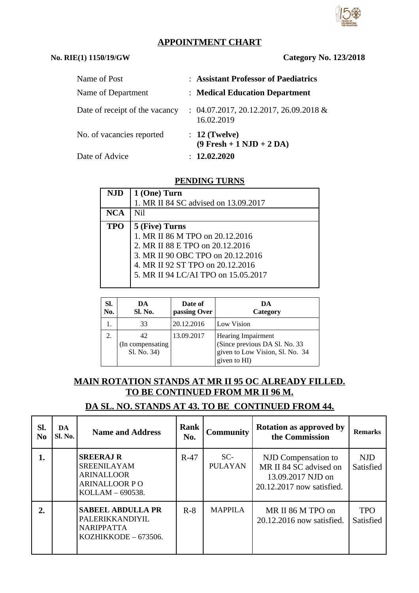# **APPOINTMENT CHART**

#### **No. RIE(1) 1150/19/GW Category No. 123/2018**

| Name of Post                   | : Assistant Professor of Paediatrics                   |
|--------------------------------|--------------------------------------------------------|
| Name of Department             | : Medical Education Department                         |
| Date of receipt of the vacancy | $: 04.07.2017, 20.12.2017, 26.09.2018$ &<br>16.02.2019 |
| No. of vacancies reported      | $: 12$ (Twelve)<br>$(9$ Fresh + 1 NJD + 2 DA)          |
| Date of Advice                 | : 12.02.2020                                           |

#### **PENDING TURNS**

| <b>NJD</b> | 1 (One) Turn                         |
|------------|--------------------------------------|
|            | 1. MR II 84 SC advised on 13.09.2017 |
| <b>NCA</b> | Nil                                  |
| <b>TPO</b> | 5 (Five) Turns                       |
|            | 1. MR II 86 M TPO on 20.12.2016      |
|            | 2. MR II 88 E TPO on 20.12.2016      |
|            | 3. MR II 90 OBC TPO on 20.12.2016    |
|            | 4. MR II 92 ST TPO on 20.12.2016     |
|            | 5. MR II 94 LC/AI TPO on 15.05.2017  |
|            |                                      |

| SI.<br>No. | DA<br>Sl. No.                         | Date of<br>passing Over | DA<br>Category                                                                                                |
|------------|---------------------------------------|-------------------------|---------------------------------------------------------------------------------------------------------------|
| 1.         | 33                                    | 20.12.2016              | Low Vision                                                                                                    |
| 2.         | 42<br>(In compensating<br>Sl. No. 34) | 13.09.2017              | <b>Hearing Impairment</b><br>(Since previous DA Sl. No. 33<br>given to Low Vision, Sl. No. 34<br>given to HI) |

## **MAIN ROTATION STANDS AT MR II 95 OC ALREADY FILLED. TO BE CONTINUED FROM MR II 96 M.**

# **DA SL. NO. STANDS AT 43. TO BE CONTINUED FROM 44.**

| SI.<br>N <sub>0</sub> | DA.<br>Sl. No. | <b>Name and Address</b>                                                                                 | <b>Rank</b><br>No. | <b>Community</b>        | <b>Rotation as approved by</b><br>the Commission                                                | <b>Remarks</b>          |
|-----------------------|----------------|---------------------------------------------------------------------------------------------------------|--------------------|-------------------------|-------------------------------------------------------------------------------------------------|-------------------------|
| 1.                    |                | <b>SREERAJ R</b><br><b>SREENILAYAM</b><br><b>ARINALLOOR</b><br><b>ARINALLOOR PO</b><br>KOLLAM - 690538. | $R-47$             | $SC-$<br><b>PULAYAN</b> | NJD Compensation to<br>MR II 84 SC advised on<br>13.09.2017 NJD on<br>20.12.2017 now satisfied. | NJD.<br>Satisfied       |
| 2.                    |                | <b>SABEEL ABDULLA PR</b><br>PALERIKKANDIYIL<br><b>NARIPPATTA</b><br>KOZHIKKODE - 673506.                | $R-8$              | <b>MAPPILA</b>          | MR II 86 M TPO on<br>20.12.2016 now satisfied.                                                  | <b>TPO</b><br>Satisfied |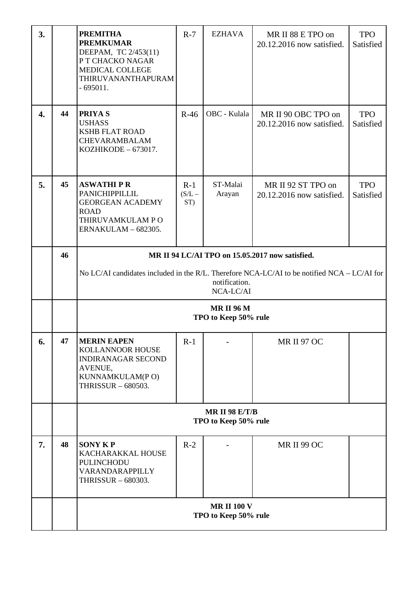| 3. |    | <b>PREMITHA</b><br><b>PREMKUMAR</b><br>DEEPAM, TC 2/453(11)<br>P T CHACKO NAGAR<br>MEDICAL COLLEGE<br>THIRUVANANTHAPURAM<br>$-695011.$                                       | $R-7$                    | <b>EZHAVA</b>      | MR II 88 E TPO on<br>20.12.2016 now satisfied.   | <b>TPO</b><br>Satisfied |  |  |
|----|----|------------------------------------------------------------------------------------------------------------------------------------------------------------------------------|--------------------------|--------------------|--------------------------------------------------|-------------------------|--|--|
| 4. | 44 | <b>PRIYAS</b><br><b>USHASS</b><br><b>KSHB FLAT ROAD</b><br>CHEVARAMBALAM<br>KOZHIKODE - 673017.                                                                              | $R-46$                   | OBC - Kulala       | MR II 90 OBC TPO on<br>20.12.2016 now satisfied. | <b>TPO</b><br>Satisfied |  |  |
| 5. | 45 | <b>ASWATHIPR</b><br>PANICHIPPILLIL<br><b>GEORGEAN ACADEMY</b><br><b>ROAD</b><br>THIRUVAMKULAM PO<br>ERNAKULAM - 682305.                                                      | $R-1$<br>$(S/L -$<br>ST) | ST-Malai<br>Arayan | MR II 92 ST TPO on<br>20.12.2016 now satisfied.  | <b>TPO</b><br>Satisfied |  |  |
|    | 46 | MR II 94 LC/AI TPO on 15.05.2017 now satisfied.<br>No LC/AI candidates included in the R/L. Therefore NCA-LC/AI to be notified NCA – LC/AI for<br>notification.<br>NCA-LC/AI |                          |                    |                                                  |                         |  |  |
|    |    | <b>MRII 96 M</b><br>TPO to Keep 50% rule                                                                                                                                     |                          |                    |                                                  |                         |  |  |
| 6. | 47 | <b>MERIN EAPEN</b><br>KOLLANNOOR HOUSE<br><b>INDIRANAGAR SECOND</b><br>AVENUE,<br>KUNNAMKULAM(PO)<br>THRISSUR - 680503.                                                      | $R-1$                    |                    | MR II 97 OC                                      |                         |  |  |
|    |    | <b>MR II 98 E/T/B</b><br>TPO to Keep 50% rule                                                                                                                                |                          |                    |                                                  |                         |  |  |
| 7. | 48 | <b>SONY KP</b><br>KACHARAKKAL HOUSE<br>PULINCHODU<br>VARANDARAPPILLY<br>THRISSUR - 680303.                                                                                   | $R-2$                    |                    | <b>MR II 99 OC</b>                               |                         |  |  |
|    |    | <b>MR II 100 V</b><br>TPO to Keep 50% rule                                                                                                                                   |                          |                    |                                                  |                         |  |  |